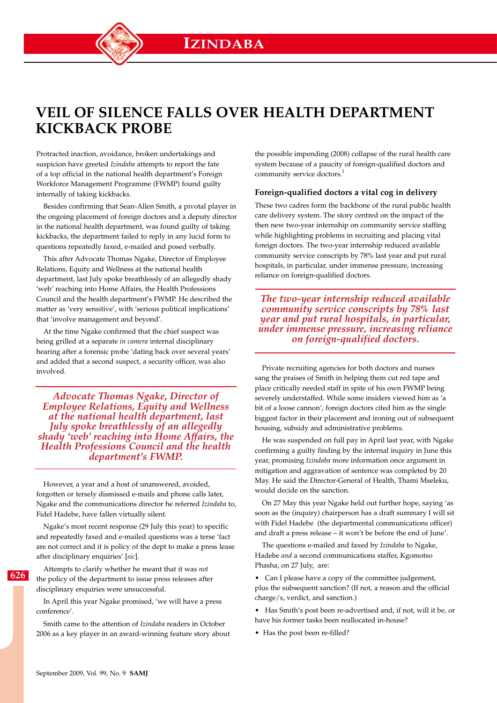# **Veil of silence falls over Health Department kickback probe**

Protracted inaction, avoidance, broken undertakings and suspicion have greeted *Izindaba* attempts to report the fate of a top official in the national health department's Foreign Workforce Management Programme (FWMP) found guilty internally of taking kickbacks.

Besides confirming that Sean-Allen Smith, a pivotal player in the ongoing placement of foreign doctors and a deputy director in the national health department, was found guilty of taking kickbacks, the department failed to reply in any lucid form to questions repeatedly faxed, e-mailed and posed verbally.

This after Advocate Thomas Ngake, Director of Employee Relations, Equity and Wellness at the national health department, last July spoke breathlessly of an allegedly shady 'web' reaching into Home Affairs, the Health Professions Council and the health department's FWMP. He described the matter as 'very sensitive', with 'serious political implications' that 'involve management and beyond'.

At the time Ngake confirmed that the chief suspect was being grilled at a separate *in camera* internal disciplinary hearing after a forensic probe 'dating back over several years' and added that a second suspect, a security officer, was also involved.

*Advocate Thomas Ngake, Director of Employee Relations, Equity and Wellness at the national health department, last July spoke breathlessly of an allegedly shady 'web' reaching into Home Affairs, the Health Professions Council and the health department's FWMP.*

However, a year and a host of unanswered, avoided, forgotten or tersely dismissed e-mails and phone calls later, Ngake and the communications director he referred *Izindaba* to, Fidel Hadebe, have fallen virtually silent.

Ngake's most recent response (29 July this year) to specific and repeatedly faxed and e-mailed questions was a terse 'fact are not correct and it is policy of the dept to make a press lease after disciplinary enquiries' [*sic*].

**626**

Attempts to clarify whether he meant that it was *not* the policy of the department to issue press releases after disciplinary enquiries were unsuccessful.

In April this year Ngake promised, 'we will have a press conference'.

Smith came to the attention of *Izindaba* readers in October 2006 as a key player in an award-winning feature story about the possible impending (2008) collapse of the rural health care system because of a paucity of foreign-qualified doctors and community service doctors.<sup>1</sup>

### **Foreign-qualified doctors a vital cog in delivery**

These two cadres form the backbone of the rural public health care delivery system. The story centred on the impact of the then new two-year internship on community service staffing while highlighting problems in recruiting and placing vital foreign doctors. The two-year internship reduced available community service conscripts by 78% last year and put rural hospitals, in particular, under immense pressure, increasing reliance on foreign-qualified doctors.

*The two-year internship reduced available community service conscripts by 78% last year and put rural hospitals, in particular, under immense pressure, increasing reliance on foreign-qualified doctors.*

Private recruiting agencies for both doctors and nurses sang the praises of Smith in helping them cut red tape and place critically needed staff in spite of his own FWMP being severely understaffed. While some insiders viewed him as 'a bit of a loose cannon', foreign doctors cited him as the single biggest factor in their placement and ironing out of subsequent housing, subsidy and administrative problems.

He was suspended on full pay in April last year, with Ngake confirming a guilty finding by the internal inquiry in June this year, promising *Izindaba* more information once argument in mitigation and aggravation of sentence was completed by 20 May. He said the Director-General of Health, Thami Mseleku, would decide on the sanction.

On 27 May this year Ngake held out further hope, saying 'as soon as the (inquiry) chairperson has a draft summary I will sit with Fidel Hadebe (the departmental communications officer) and draft a press release – it won't be before the end of June'.

The questions e-mailed and faxed by *Izindaba* to Ngake, Hadebe *and* a second communications staffer, Kgomotso Phasha, on 27 July, are:

• Can I please have a copy of the committee judgement, plus the subsequent sanction? (If not, a reason and the official charge/s, verdict, and sanction.)

• Has Smith's post been re-advertised and, if not, will it be, or have his former tasks been reallocated in-house?

• Has the post been re-filled?